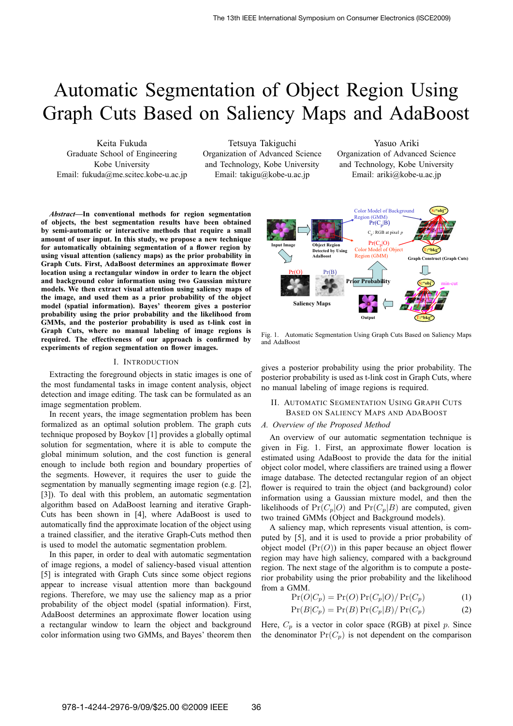# Automatic Segmentation of Object Region Using Graph Cuts Based on Saliency Maps and AdaBoost

Keita Fukuda Graduate School of Engineering Kobe University Email: fukuda@me.scitec.kobe-u.ac.jp

Tetsuya Takiguchi Organization of Advanced Science and Technology, Kobe University Email: takigu@kobe-u.ac.jp

Yasuo Ariki Organization of Advanced Science and Technology, Kobe University Email: ariki@kobe-u.ac.jp

*Abstract***—In conventional methods for region segmentation of objects, the best segmentation results have been obtained by semi-automatic or interactive methods that require a small amount of user input. In this study, we propose a new technique for automatically obtaining segmentation of a flower region by using visual attention (saliency maps) as the prior probability in Graph Cuts. First, AdaBoost determines an approximate flower location using a rectangular window in order to learn the object and background color information using two Gaussian mixture models. We then extract visual attention using saliency maps of the image, and used them as a prior probability of the object model (spatial information). Bayes' theorem gives a posterior probability using the prior probability and the likelihood from GMMs, and the posterior probability is used as t-link cost in Graph Cuts, where no manual labeling of image regions is required. The effectiveness of our approach is confirmed by experiments of region segmentation on flower images.**

## I. INTRODUCTION

Extracting the foreground objects in static images is one of the most fundamental tasks in image content analysis, object detection and image editing. The task can be formulated as an image segmentation problem.

In recent years, the image segmentation problem has been formalized as an optimal solution problem. The graph cuts technique proposed by Boykov [1] provides a globally optimal solution for segmentation, where it is able to compute the global minimum solution, and the cost function is general enough to include both region and boundary properties of the segments. However, it requires the user to guide the segmentation by manually segmenting image region (e.g. [2], [3]). To deal with this problem, an automatic segmentation algorithm based on AdaBoost learning and iterative Graph-Cuts has been shown in [4], where AdaBoost is used to automatically find the approximate location of the object using a trained classifier, and the iterative Graph-Cuts method then is used to model the automatic segmentation problem.

In this paper, in order to deal with automatic segmentation of image regions, a model of saliency-based visual attention [5] is integrated with Graph Cuts since some object regions appear to increase visual attention more than backgound regions. Therefore, we may use the saliency map as a prior probability of the object model (spatial information). First, AdaBoost determines an approximate flower location using a rectangular window to learn the object and background color information using two GMMs, and Bayes' theorem then



Fig. 1. Automatic Segmentation Using Graph Cuts Based on Saliency Maps and AdaBoost

gives a posterior probability using the prior probability. The posterior probability is used as t-link cost in Graph Cuts, where no manual labeling of image regions is required.

## II. AUTOMATIC SEGMENTATION USING GRAPH CUTS BASED ON SALIENCY MAPS AND ADABOOST

#### *A. Overview of the Proposed Method*

An overview of our automatic segmentation technique is given in Fig. 1. First, an approximate flower location is estimated using AdaBoost to provide the data for the initial object color model, where classifiers are trained using a flower image database. The detected rectangular region of an object flower is required to train the object (and background) color information using a Gaussian mixture model, and then the likelihoods of  $Pr(C_p|O)$  and  $Pr(C_p|B)$  are computed, given two trained GMMs (Object and Background models).

A saliency map, which represents visual attention, is computed by [5], and it is used to provide a prior probability of object model  $(Pr(O))$  in this paper because an object flower region may have high saliency, compared with a background region. The next stage of the algorithm is to compute a posterior probability using the prior probability and the likelihood from a GMM.

$$
Pr(O|C_p) = Pr(O) Pr(C_p|O) / Pr(C_p)
$$
 (1)

$$
Pr(B|C_p) = Pr(B) Pr(C_p|B) / Pr(C_p)
$$
 (2)

Here,  $C_p$  is a vector in color space (RGB) at pixel p. Since the denominator  $Pr(C_p)$  is not dependent on the comparison